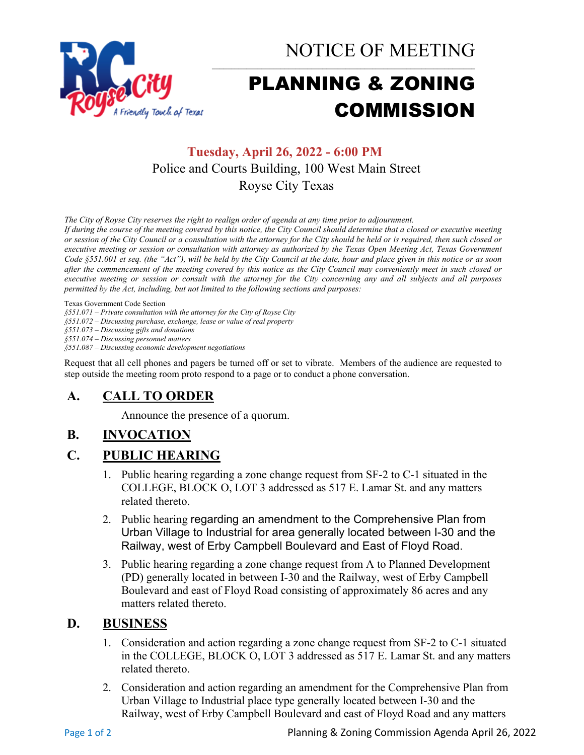

NOTICE OF MEETING

# PLANNING & ZONING COMMISSION

# **Tuesday, April 26, 2022 - 6:00 PM** Police and Courts Building, 100 West Main Street Royse City Texas

*The City of Royse City reserves the right to realign order of agenda at any time prior to adjournment.*

*If during the course of the meeting covered by this notice, the City Council should determine that a closed or executive meeting or session of the City Council or a consultation with the attorney for the City should be held or is required, then such closed or executive meeting or session or consultation with attorney as authorized by the Texas Open Meeting Act, Texas Government Code §551.001 et seq. (the "Act"), will be held by the City Council at the date, hour and place given in this notice or as soon after the commencement of the meeting covered by this notice as the City Council may conveniently meet in such closed or executive meeting or session or consult with the attorney for the City concerning any and all subjects and all purposes permitted by the Act, including, but not limited to the following sections and purposes:*

Texas Government Code Section

*§551.071 – Private consultation with the attorney for the City of Royse City* 

*§551.072 – Discussing purchase, exchange, lease or value of real property* 

*§551.073 – Discussing gifts and donations*

*§551.074 – Discussing personnel matters*

*§551.087 – Discussing economic development negotiations*

Request that all cell phones and pagers be turned off or set to vibrate. Members of the audience are requested to step outside the meeting room proto respond to a page or to conduct a phone conversation.

## **A. CALL TO ORDER**

Announce the presence of a quorum.

## **B. INVOCATION**

### **C. PUBLIC HEARING**

- 1. Public hearing regarding a zone change request from SF-2 to C-1 situated in the COLLEGE, BLOCK O, LOT 3 addressed as 517 E. Lamar St. and any matters related thereto.
- 2. Public hearing [regarding an amendment to the Comprehensive Plan from](https://roysecitytx.v8.civicclerk.com/Meetings/Agenda/ItemFields?id=892)  [Urban Village to Industrial for area generally located between I-30 and the](https://roysecitytx.v8.civicclerk.com/Meetings/Agenda/ItemFields?id=892)  [Railway, west of Erby Campbell Boulevard and East of Floyd Road.](https://roysecitytx.v8.civicclerk.com/Meetings/Agenda/ItemFields?id=892)
- 3. Public hearing regarding a zone change request from A to Planned Development (PD) generally located in between I-30 and the Railway, west of Erby Campbell Boulevard and east of Floyd Road consisting of approximately 86 acres and any matters related thereto.

#### **D. BUSINESS**

- 1. Consideration and action regarding a zone change request from SF-2 to C-1 situated in the COLLEGE, BLOCK O, LOT 3 addressed as 517 E. Lamar St. and any matters related thereto.
- 2. Consideration and action regarding an amendment for the Comprehensive Plan from Urban Village to Industrial place type generally located between I-30 and the Railway, west of Erby Campbell Boulevard and east of Floyd Road and any matters